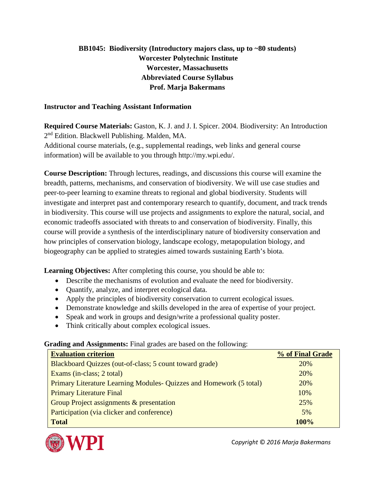# **BB1045: Biodiversity (Introductory majors class, up to ~80 students) Worcester Polytechnic Institute Worcester, Massachusetts Abbreviated Course Syllabus Prof. Marja Bakermans**

#### **Instructor and Teaching Assistant Information**

**Required Course Materials:** Gaston, K. J. and J. I. Spicer. 2004. Biodiversity: An Introduction 2<sup>nd</sup> Edition. Blackwell Publishing. Malden, MA.

Additional course materials, (e.g., supplemental readings, web links and general course information) will be available to you through http://my.wpi.edu/.

**Course Description:** Through lectures, readings, and discussions this course will examine the breadth, patterns, mechanisms, and conservation of biodiversity. We will use case studies and peer-to-peer learning to examine threats to regional and global biodiversity. Students will investigate and interpret past and contemporary research to quantify, document, and track trends in biodiversity. This course will use projects and assignments to explore the natural, social, and economic tradeoffs associated with threats to and conservation of biodiversity. Finally, this course will provide a synthesis of the interdisciplinary nature of biodiversity conservation and how principles of conservation biology, landscape ecology, metapopulation biology, and biogeography can be applied to strategies aimed towards sustaining Earth's biota.

**Learning Objectives:** After completing this course, you should be able to:

- Describe the mechanisms of evolution and evaluate the need for biodiversity.
- Quantify, analyze, and interpret ecological data.
- Apply the principles of biodiversity conservation to current ecological issues.
- Demonstrate knowledge and skills developed in the area of expertise of your project.
- Speak and work in groups and design/write a professional quality poster.
- Think critically about complex ecological issues.

#### **Grading and Assignments:** Final grades are based on the following:

| <b>Evaluation criterion</b>                                                | % of Final Grade |
|----------------------------------------------------------------------------|------------------|
| Blackboard Quizzes (out-of-class; 5 count toward grade)                    | 20%              |
| Exams (in-class; 2 total)                                                  | 20%              |
| <b>Primary Literature Learning Modules- Quizzes and Homework (5 total)</b> | 20%              |
| <b>Primary Literature Final</b>                                            | 10%              |
| Group Project assignments & presentation                                   | 25%              |
| Participation (via clicker and conference)                                 | 5%               |
| <b>Total</b>                                                               | 100%             |



C*opyright* © *2016 Marja Bakermans*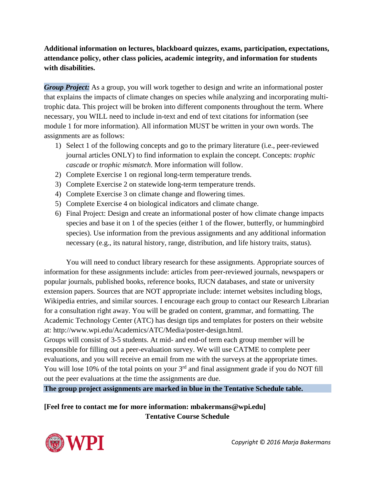## **Additional information on lectures, blackboard quizzes, exams, participation, expectations, attendance policy, other class policies, academic integrity, and information for students with disabilities.**

*Group Project:* As a group, you will work together to design and write an informational poster that explains the impacts of climate changes on species while analyzing and incorporating multitrophic data. This project will be broken into different components throughout the term. Where necessary, you WILL need to include in-text and end of text citations for information (see module 1 for more information). All information MUST be written in your own words. The assignments are as follows:

- 1) Select 1 of the following concepts and go to the primary literature (i.e., peer-reviewed journal articles ONLY) to find information to explain the concept. Concepts: *trophic cascade* or *trophic mismatch*. More information will follow.
- 2) Complete Exercise 1 on regional long-term temperature trends.
- 3) Complete Exercise 2 on statewide long-term temperature trends.
- 4) Complete Exercise 3 on climate change and flowering times.
- 5) Complete Exercise 4 on biological indicators and climate change.
- 6) Final Project: Design and create an informational poster of how climate change impacts species and base it on 1 of the species (either 1 of the flower, butterfly, or hummingbird species). Use information from the previous assignments and any additional information necessary (e.g., its natural history, range, distribution, and life history traits, status).

You will need to conduct library research for these assignments. Appropriate sources of information for these assignments include: articles from peer-reviewed journals, newspapers or popular journals, published books, reference books, IUCN databases, and state or university extension papers. Sources that are NOT appropriate include: internet websites including blogs, Wikipedia entries, and similar sources. I encourage each group to contact our Research Librarian for a consultation right away. You will be graded on content, grammar, and formatting. The Academic Technology Center (ATC) has design tips and templates for posters on their website at: http://www.wpi.edu/Academics/ATC/Media/poster-design.html.

Groups will consist of 3-5 students. At mid- and end-of term each group member will be responsible for filling out a peer-evaluation survey. We will use CATME to complete peer evaluations, and you will receive an email from me with the surveys at the appropriate times. You will lose 10% of the total points on your  $3<sup>rd</sup>$  and final assignment grade if you do NOT fill out the peer evaluations at the time the assignments are due.

**The group project assignments are marked in blue in the Tentative Schedule table.** 

### **[Feel free to contact me for more information: mbakermans@wpi.edu] Tentative Course Schedule**